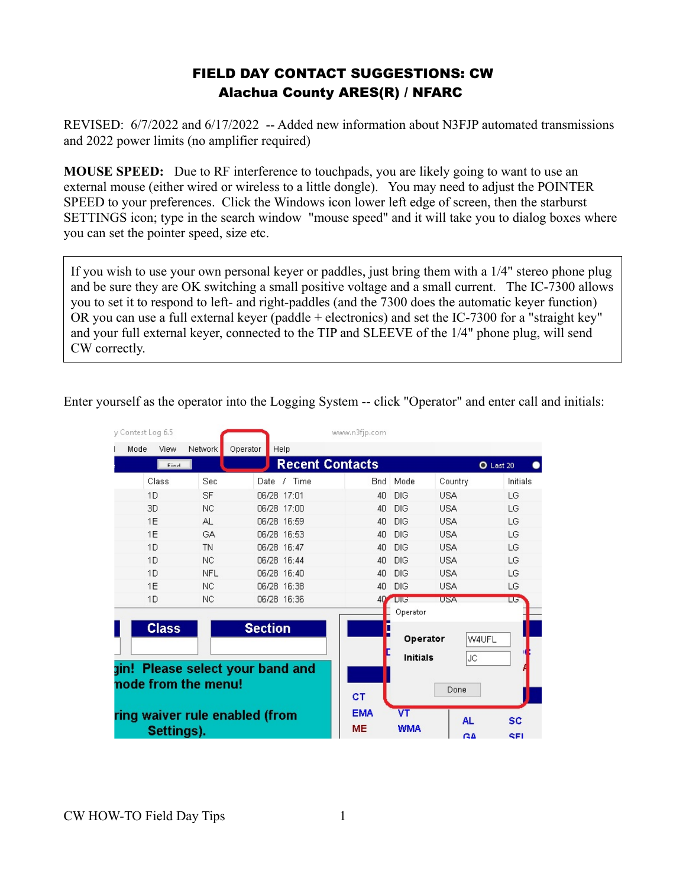## FIELD DAY CONTACT SUGGESTIONS: CW Alachua County ARES(R) / NFARC

REVISED: 6/7/2022 and 6/17/2022 -- Added new information about N3FJP automated transmissions and 2022 power limits (no amplifier required)

**MOUSE SPEED:** Due to RF interference to touchpads, you are likely going to want to use an external mouse (either wired or wireless to a little dongle). You may need to adjust the POINTER SPEED to your preferences. Click the Windows icon lower left edge of screen, then the starburst SETTINGS icon; type in the search window "mouse speed" and it will take you to dialog boxes where you can set the pointer speed, size etc.

If you wish to use your own personal keyer or paddles, just bring them with a 1/4" stereo phone plug and be sure they are OK switching a small positive voltage and a small current. The IC-7300 allows you to set it to respond to left- and right-paddles (and the 7300 does the automatic keyer function) OR you can use a full external keyer (paddle + electronics) and set the IC-7300 for a "straight key" and your full external keyer, connected to the TIP and SLEEVE of the 1/4" phone plug, will send CW correctly.

Enter yourself as the operator into the Logging System -- click "Operator" and enter call and initials:

| y Contest Log 6.5                                       |              |                     |                | www.n3fjp.com          |            |            |           |
|---------------------------------------------------------|--------------|---------------------|----------------|------------------------|------------|------------|-----------|
| Mode                                                    | View         | Network<br>Operator | Help           |                        |            |            |           |
|                                                         | Find         |                     |                | <b>Recent Contacts</b> |            |            | O Last 20 |
|                                                         | Class        | Sec                 | / Time<br>Date | <b>Bnd</b>             | Mode       | Country    | Initials  |
|                                                         | 1D           | <b>SF</b>           | 06/28 17:01    | 40                     | DIG        | <b>USA</b> | LG        |
|                                                         | 3D           | NC.                 | 06/28 17:00    | 40                     | DIG        | <b>USA</b> | LG        |
|                                                         | 1E           | AL.                 | 06/28 16:59    | 40                     | DIG        | <b>USA</b> | LG        |
|                                                         | 1E           | <b>GA</b>           | 06/28 16:53    | 40                     | <b>DIG</b> | <b>USA</b> | LG        |
|                                                         | 1D           | TN                  | 06/28 16:47    | 4 <sub>0</sub>         | <b>DIG</b> | <b>USA</b> | LG        |
|                                                         | 1D           | <b>NC</b>           | 06/28 16:44    | 40                     | <b>DIG</b> | <b>USA</b> | LG        |
|                                                         | 1D           | <b>NFL</b>          | 06/28 16:40    | 40                     | <b>DIG</b> | <b>USA</b> | LG        |
|                                                         | 1E           | NC.                 | 06/28 16:38    | 40                     | DIG        | <b>USA</b> | LG        |
|                                                         | 1D           | NC.                 | 06/28 16:36    | 40.                    | $U \cup$   | <b>USA</b> | LG        |
|                                                         |              |                     |                |                        | Operator   |            |           |
|                                                         | <b>Class</b> |                     | <b>Section</b> |                        |            |            |           |
|                                                         |              |                     |                | Operator               | W4UFL      |            |           |
|                                                         |              |                     |                | <b>Initials</b>        | JC.        |            |           |
| gin! Please select your band and<br>node from the menu! |              |                     |                |                        |            |            |           |
|                                                         |              |                     |                |                        |            |            |           |
|                                                         |              |                     | CT             | Done                   |            |            |           |
| ring waiver rule enabled (from                          |              |                     | <b>EMA</b>     | VT                     |            |            |           |
|                                                         |              |                     |                |                        |            | <b>AL</b>  | <b>SC</b> |
| Settings).                                              |              |                     | <b>ME</b>      | <b>WMA</b>             | <b>GA</b>  | <b>SEI</b> |           |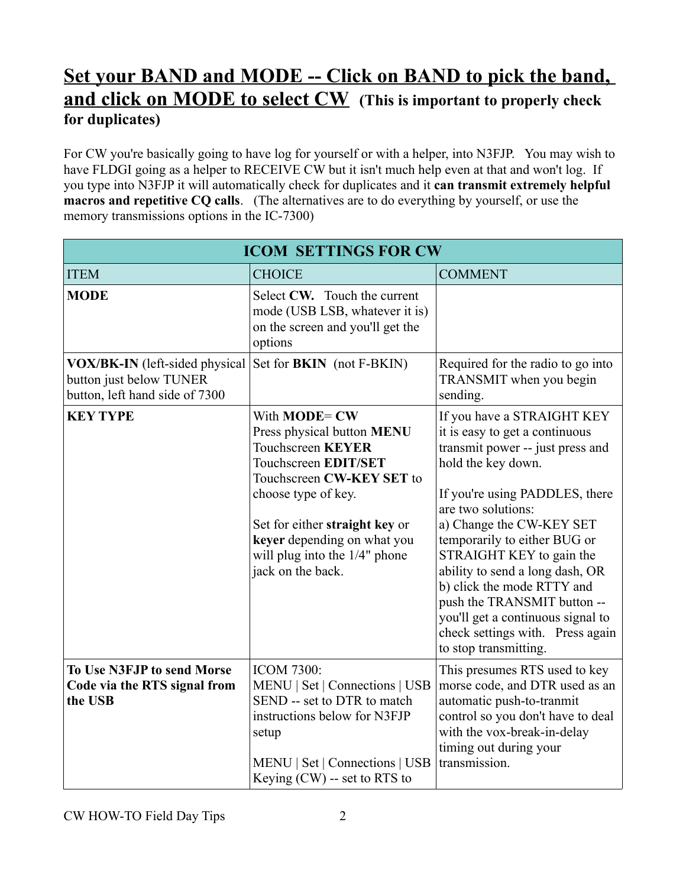# **Set your BAND and MODE -- Click on BAND to pick the band, and click on MODE to select CW (This is important to properly check for duplicates)**

For CW you're basically going to have log for yourself or with a helper, into N3FJP. You may wish to have FLDGI going as a helper to RECEIVE CW but it isn't much help even at that and won't log. If you type into N3FJP it will automatically check for duplicates and it **can transmit extremely helpful macros and repetitive CQ calls**. (The alternatives are to do everything by yourself, or use the memory transmissions options in the IC-7300)

| <b>ICOM SETTINGS FOR CW</b>                                                                 |                                                                                                                                                                                                                                                                                    |                                                                                                                                                                                                                                                                                                                                                                                                                                                                          |  |  |  |
|---------------------------------------------------------------------------------------------|------------------------------------------------------------------------------------------------------------------------------------------------------------------------------------------------------------------------------------------------------------------------------------|--------------------------------------------------------------------------------------------------------------------------------------------------------------------------------------------------------------------------------------------------------------------------------------------------------------------------------------------------------------------------------------------------------------------------------------------------------------------------|--|--|--|
| <b>ITEM</b>                                                                                 | <b>CHOICE</b>                                                                                                                                                                                                                                                                      | <b>COMMENT</b>                                                                                                                                                                                                                                                                                                                                                                                                                                                           |  |  |  |
| <b>MODE</b>                                                                                 | Select CW. Touch the current<br>mode (USB LSB, whatever it is)<br>on the screen and you'll get the<br>options                                                                                                                                                                      |                                                                                                                                                                                                                                                                                                                                                                                                                                                                          |  |  |  |
| VOX/BK-IN (left-sided physical<br>button just below TUNER<br>button, left hand side of 7300 | Set for <b>BKIN</b> (not F-BKIN)                                                                                                                                                                                                                                                   | Required for the radio to go into<br>TRANSMIT when you begin<br>sending.                                                                                                                                                                                                                                                                                                                                                                                                 |  |  |  |
| <b>KEY TYPE</b>                                                                             | With <b>MODE</b> = CW<br>Press physical button MENU<br><b>Touchscreen KEYER</b><br>Touchscreen EDIT/SET<br>Touchscreen CW-KEY SET to<br>choose type of key.<br>Set for either straight key or<br>keyer depending on what you<br>will plug into the 1/4" phone<br>jack on the back. | If you have a STRAIGHT KEY<br>it is easy to get a continuous<br>transmit power -- just press and<br>hold the key down.<br>If you're using PADDLES, there<br>are two solutions:<br>a) Change the CW-KEY SET<br>temporarily to either BUG or<br>STRAIGHT KEY to gain the<br>ability to send a long dash, OR<br>b) click the mode RTTY and<br>push the TRANSMIT button --<br>you'll get a continuous signal to<br>check settings with. Press again<br>to stop transmitting. |  |  |  |
| To Use N3FJP to send Morse<br>Code via the RTS signal from<br>the USB                       | <b>ICOM 7300:</b><br>MENU   Set   Connections   USB<br>SEND -- set to DTR to match<br>instructions below for N3FJP<br>setup<br>MENU   Set   Connections   USB<br>Keying $(CW)$ -- set to RTS to                                                                                    | This presumes RTS used to key<br>morse code, and DTR used as an<br>automatic push-to-tranmit<br>control so you don't have to deal<br>with the vox-break-in-delay<br>timing out during your<br>transmission.                                                                                                                                                                                                                                                              |  |  |  |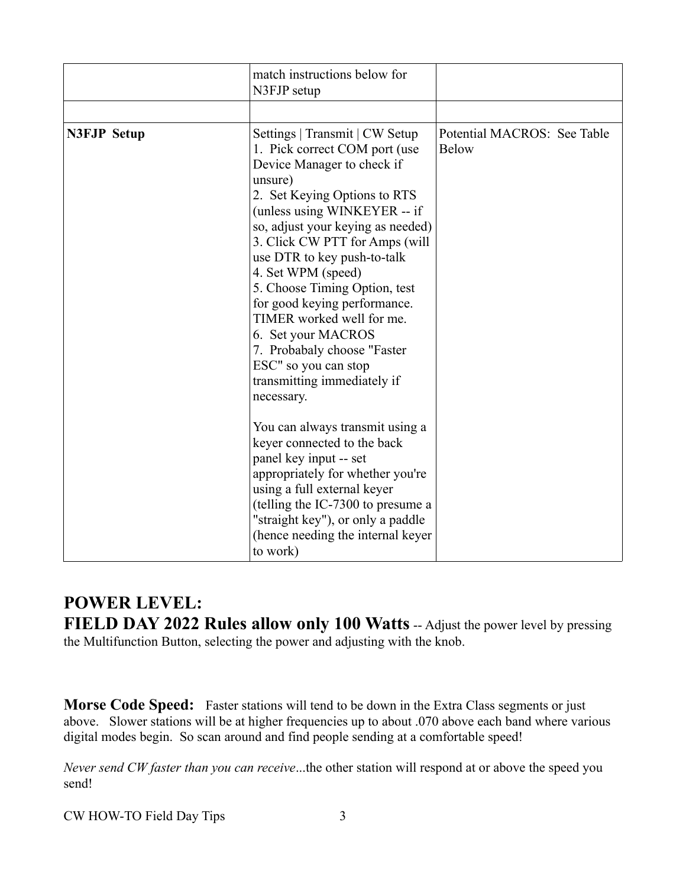|                    | match instructions below for<br>N3FJP setup                                                                                                                                                                                                                                                                                                                                                                                                                                                                                  |                                             |
|--------------------|------------------------------------------------------------------------------------------------------------------------------------------------------------------------------------------------------------------------------------------------------------------------------------------------------------------------------------------------------------------------------------------------------------------------------------------------------------------------------------------------------------------------------|---------------------------------------------|
|                    |                                                                                                                                                                                                                                                                                                                                                                                                                                                                                                                              |                                             |
| <b>N3FJP Setup</b> | Settings   Transmit   CW Setup<br>1. Pick correct COM port (use<br>Device Manager to check if<br>unsure)<br>2. Set Keying Options to RTS<br>(unless using WINKEYER -- if<br>so, adjust your keying as needed)<br>3. Click CW PTT for Amps (will<br>use DTR to key push-to-talk<br>4. Set WPM (speed)<br>5. Choose Timing Option, test<br>for good keying performance.<br>TIMER worked well for me.<br>6. Set your MACROS<br>7. Probabaly choose "Faster<br>ESC" so you can stop<br>transmitting immediately if<br>necessary. | Potential MACROS: See Table<br><b>Below</b> |
|                    | You can always transmit using a<br>keyer connected to the back<br>panel key input -- set<br>appropriately for whether you're<br>using a full external keyer<br>(telling the IC-7300 to presume a<br>"straight key"), or only a paddle<br>(hence needing the internal keyer<br>to work)                                                                                                                                                                                                                                       |                                             |

### **POWER LEVEL:** FIELD DAY 2022 Rules allow only 100 Watts -- Adjust the power level by pressing the Multifunction Button, selecting the power and adjusting with the knob.

**Morse Code Speed:** Faster stations will tend to be down in the Extra Class segments or just above. Slower stations will be at higher frequencies up to about .070 above each band where various digital modes begin. So scan around and find people sending at a comfortable speed!

*Never send CW faster than you can receive*...the other station will respond at or above the speed you send!

CW HOW-TO Field Day Tips 3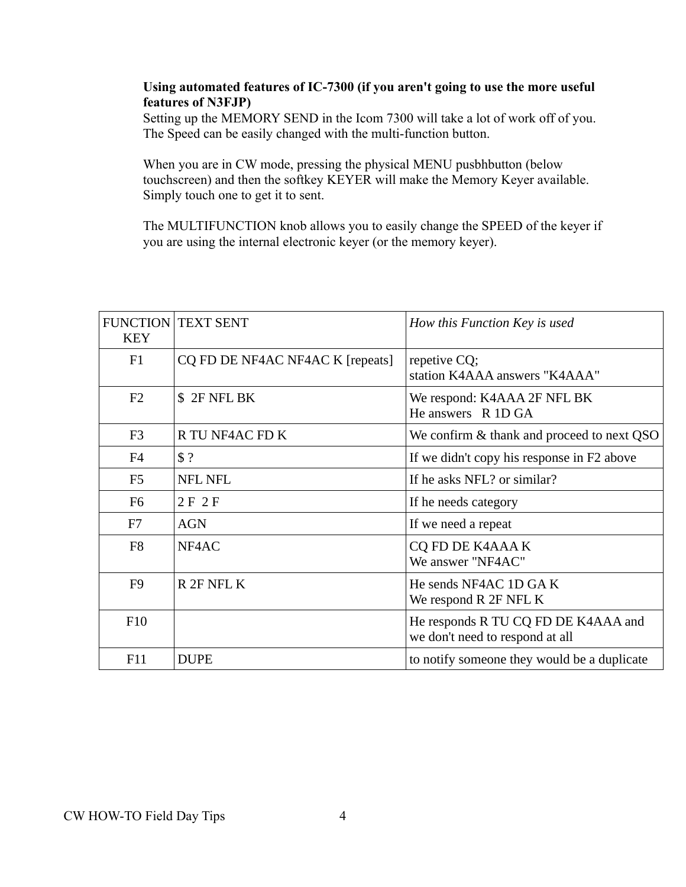#### **Using automated features of IC-7300 (if you aren't going to use the more useful features of N3FJP)**

Setting up the MEMORY SEND in the Icom 7300 will take a lot of work off of you. The Speed can be easily changed with the multi-function button.

When you are in CW mode, pressing the physical MENU pusbhbutton (below touchscreen) and then the softkey KEYER will make the Memory Keyer available. Simply touch one to get it to sent.

The MULTIFUNCTION knob allows you to easily change the SPEED of the keyer if you are using the internal electronic keyer (or the memory keyer).

| <b>FUNCTION</b><br><b>KEY</b> | <b>TEXT SENT</b>                 | How this Function Key is used                                          |
|-------------------------------|----------------------------------|------------------------------------------------------------------------|
| F1                            | CQ FD DE NF4AC NF4AC K [repeats] | repetive CQ;<br>station K4AAA answers "K4AAA"                          |
| F <sub>2</sub>                | \$ 2F NFL BK                     | We respond: K4AAA 2F NFL BK<br>He answers R 1D GA                      |
| F <sub>3</sub>                | R TU NF4AC FD K                  | We confirm & thank and proceed to next QSO                             |
| F <sub>4</sub>                | \$?                              | If we didn't copy his response in F2 above                             |
| F <sub>5</sub>                | <b>NFL NFL</b>                   | If he asks NFL? or similar?                                            |
| F <sub>6</sub>                | 2F2F                             | If he needs category                                                   |
| F7                            | <b>AGN</b>                       | If we need a repeat                                                    |
| F <sub>8</sub>                | NF4AC                            | <b>CQ FD DE K4AAA K</b><br>We answer "NF4AC"                           |
| F <sub>9</sub>                | R 2F NFL K                       | He sends NF4AC 1D GAK<br>We respond R 2F NFL K                         |
| F <sub>10</sub>               |                                  | He responds R TU CQ FD DE K4AAA and<br>we don't need to respond at all |
| F11                           | <b>DUPE</b>                      | to notify someone they would be a duplicate                            |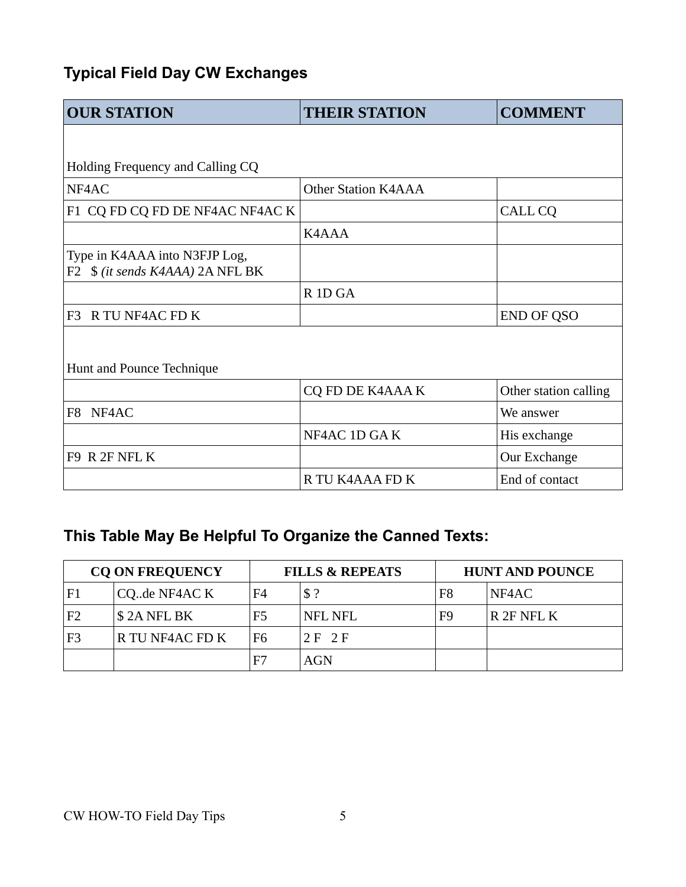# **Typical Field Day CW Exchanges**

| <b>OUR STATION</b>                                                | <b>THEIR STATION</b>           | <b>COMMENT</b>        |  |  |  |
|-------------------------------------------------------------------|--------------------------------|-----------------------|--|--|--|
|                                                                   |                                |                       |  |  |  |
| Holding Frequency and Calling CQ                                  |                                |                       |  |  |  |
| NF4AC                                                             | <b>Other Station K4AAA</b>     |                       |  |  |  |
| F1 CQ FD CQ FD DE NF4AC NF4AC K                                   |                                | CALL CQ               |  |  |  |
|                                                                   | K4AAA                          |                       |  |  |  |
| Type in K4AAA into N3FJP Log,<br>F2 \$ (it sends K4AAA) 2A NFL BK |                                |                       |  |  |  |
|                                                                   | R <sub>1</sub> D <sub>GA</sub> |                       |  |  |  |
| F3 R TU NF4AC FD K                                                |                                | <b>END OF QSO</b>     |  |  |  |
|                                                                   |                                |                       |  |  |  |
| Hunt and Pounce Technique                                         |                                |                       |  |  |  |
|                                                                   | <b>CQ FD DE K4AAA K</b>        | Other station calling |  |  |  |
| NF4AC<br>F8                                                       |                                | We answer             |  |  |  |
|                                                                   | NF4AC 1D GAK                   | His exchange          |  |  |  |
| F9 R 2F NFL K                                                     |                                | Our Exchange          |  |  |  |
|                                                                   | R TU K4AAA FD K                | End of contact        |  |  |  |

# **This Table May Be Helpful To Organize the Canned Texts:**

| <b>CQ ON FREQUENCY</b> |                 | <b>FILLS &amp; REPEATS</b> |                | <b>HUNT AND POUNCE</b> |            |  |
|------------------------|-----------------|----------------------------|----------------|------------------------|------------|--|
| F1                     | CQde NF4AC K    | F4                         | \$?            | F8                     | NF4AC      |  |
| F2                     | \$2A NFL BK     | F <sub>5</sub>             | <b>NFL NFL</b> | F9                     | R 2F NFL K |  |
| F3                     | R TU NF4AC FD K | F6                         | 2 E 2 F        |                        |            |  |
|                        |                 | F7                         | AGN            |                        |            |  |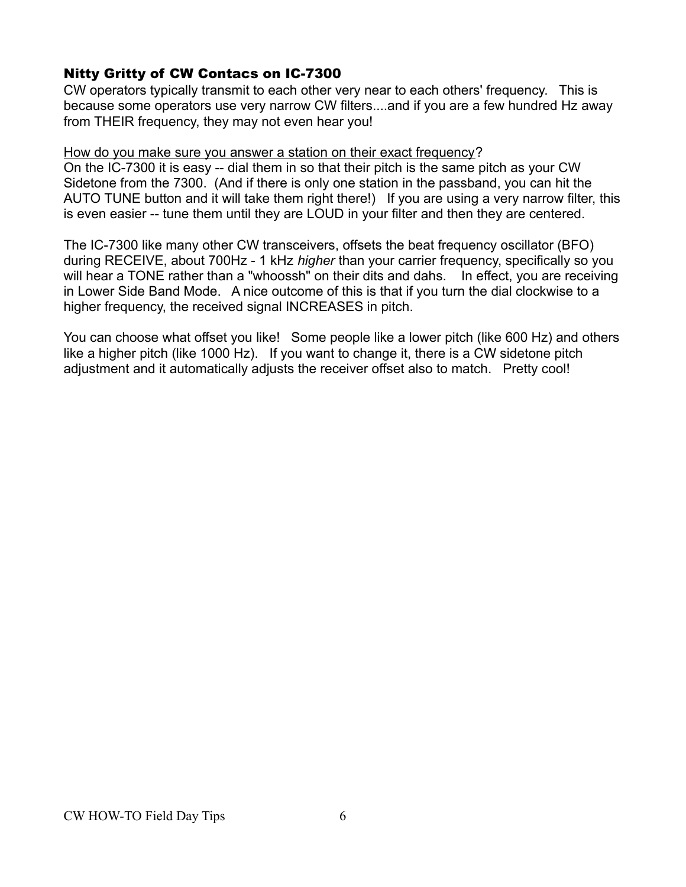#### Nitty Gritty of CW Contacs on IC-7300

CW operators typically transmit to each other very near to each others' frequency. This is because some operators use very narrow CW filters....and if you are a few hundred Hz away from THEIR frequency, they may not even hear you!

#### How do you make sure you answer a station on their exact frequency?

On the IC-7300 it is easy -- dial them in so that their pitch is the same pitch as your CW Sidetone from the 7300. (And if there is only one station in the passband, you can hit the AUTO TUNE button and it will take them right there!) If you are using a very narrow filter, this is even easier -- tune them until they are LOUD in your filter and then they are centered.

The IC-7300 like many other CW transceivers, offsets the beat frequency oscillator (BFO) during RECEIVE, about 700Hz - 1 kHz *higher* than your carrier frequency, specifically so you will hear a TONE rather than a "whoossh" on their dits and dahs. In effect, you are receiving in Lower Side Band Mode. A nice outcome of this is that if you turn the dial clockwise to a higher frequency, the received signal INCREASES in pitch.

You can choose what offset you like! Some people like a lower pitch (like 600 Hz) and others like a higher pitch (like 1000 Hz). If you want to change it, there is a CW sidetone pitch adjustment and it automatically adjusts the receiver offset also to match. Pretty cool!